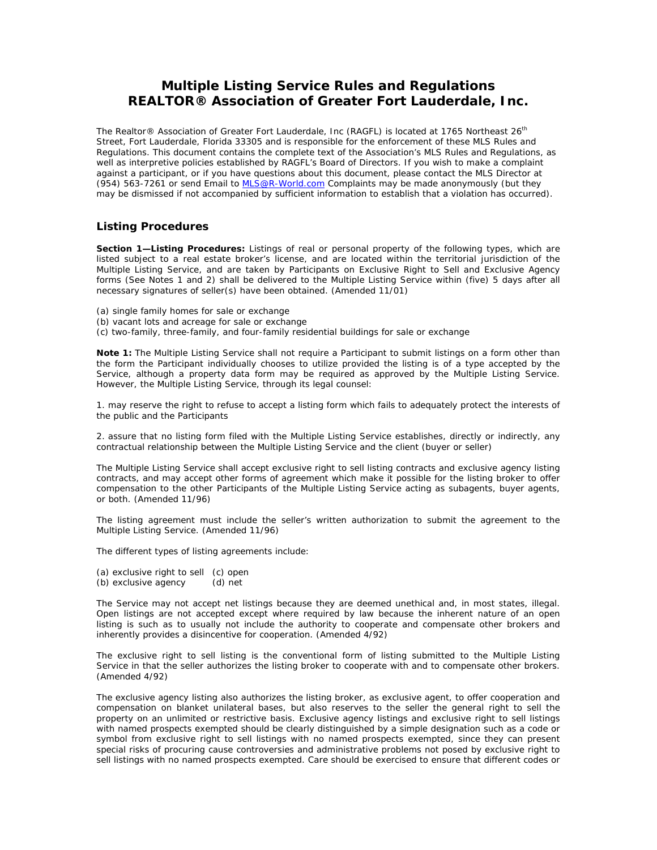# **Multiple Listing Service Rules and Regulations REALTOR® Association of Greater Fort Lauderdale, Inc.**

*The Realtor® Association of Greater Fort Lauderdale, Inc (RAGFL) is located at 1765 Northeast 26th Street, Fort Lauderdale, Florida 33305 and is responsible for the enforcement of these MLS Rules and Regulations. This document contains the complete text of the Association's MLS Rules and Regulations, as well as interpretive policies established by RAGFL's Board of Directors. If you wish to make a complaint against a participant, or if you have questions about this document, please contact the MLS Director at (954) 563-7261 or send Email to MLS@R-World.com Complaints may be made anonymously (but they may be dismissed if not accompanied by sufficient information to establish that a violation has occurred).* 

## **Listing Procedures**

**Section 1—Listing Procedures:** Listings of real or personal property of the following types, which are listed subject to a real estate broker's license, and are located within the territorial jurisdiction of the Multiple Listing Service, and are taken by Participants on Exclusive Right to Sell and Exclusive Agency forms (See Notes 1 and 2) shall be delivered to the Multiple Listing Service within (five) 5 days after all necessary signatures of seller(s) have been obtained. (Amended 11/01)

- (a) single family homes for sale or exchange
- (b) vacant lots and acreage for sale or exchange
- (c) two-family, three-family, and four-family residential buildings for sale or exchange

**Note 1:** The Multiple Listing Service shall not require a Participant to submit listings on a form other than the form the Participant individually chooses to utilize provided the listing is of a type accepted by the Service, although a property data form may be required as approved by the Multiple Listing Service. However, the Multiple Listing Service, through its legal counsel:

1. may reserve the right to refuse to accept a listing form which fails to adequately protect the interests of the public and the Participants

2. assure that no listing form filed with the Multiple Listing Service establishes, directly or indirectly, any contractual relationship between the Multiple Listing Service and the client (buyer or seller)

The Multiple Listing Service shall accept exclusive right to sell listing contracts and exclusive agency listing contracts, and may accept other forms of agreement which make it possible for the listing broker to offer compensation to the other Participants of the Multiple Listing Service acting as subagents, buyer agents, or both. (Amended 11/96)

The listing agreement must include the seller's written authorization to submit the agreement to the Multiple Listing Service. (Amended 11/96)

The different types of listing agreements include:

(a) exclusive right to sell (c) open (b) exclusive agency (d) net

The Service may not accept net listings because they are deemed unethical and, in most states, illegal. Open listings are not accepted except where required by law because the inherent nature of an open listing is such as to usually not include the authority to cooperate and compensate other brokers and inherently provides a disincentive for cooperation. (Amended 4/92)

The exclusive right to sell listing is the conventional form of listing submitted to the Multiple Listing Service in that the seller authorizes the listing broker to cooperate with and to compensate other brokers. (Amended 4/92)

The exclusive agency listing also authorizes the listing broker, as exclusive agent, to offer cooperation and compensation on blanket unilateral bases, but also reserves to the seller the general right to sell the property on an unlimited or restrictive basis. Exclusive agency listings and exclusive right to sell listings with named prospects exempted should be clearly distinguished by a simple designation such as a code or symbol from exclusive right to sell listings with no named prospects exempted, since they can present special risks of procuring cause controversies and administrative problems not posed by exclusive right to sell listings with no named prospects exempted. Care should be exercised to ensure that different codes or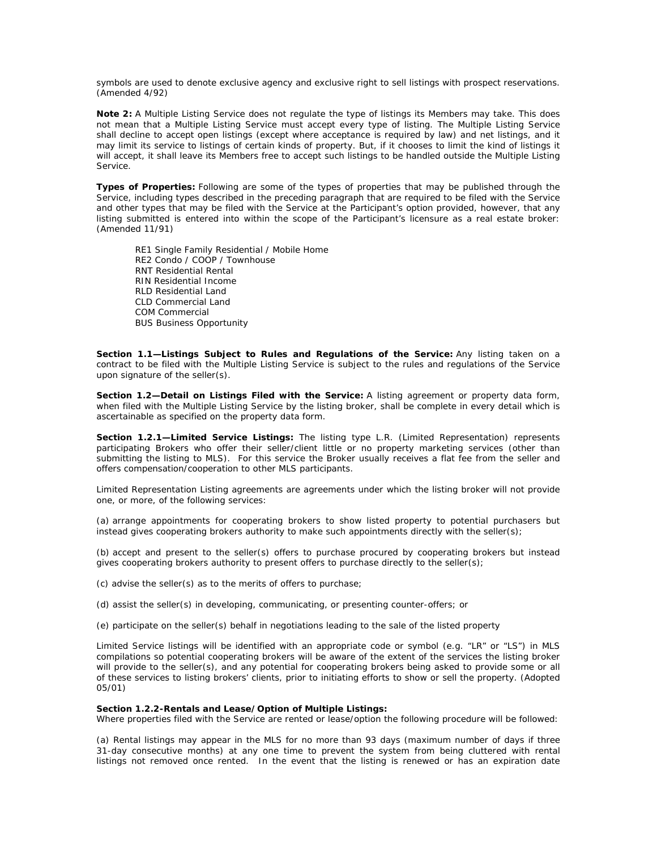symbols are used to denote exclusive agency and exclusive right to sell listings with prospect reservations. (Amended 4/92)

**Note 2:** A Multiple Listing Service does not regulate the type of listings its Members may take. This does not mean that a Multiple Listing Service must accept every type of listing. The Multiple Listing Service shall decline to accept open listings (except where acceptance is required by law) and net listings, and it may limit its service to listings of certain kinds of property. But, if it chooses to limit the kind of listings it will accept, it shall leave its Members free to accept such listings to be handled outside the Multiple Listing Service.

**Types of Properties:** Following are some of the types of properties that may be published through the Service, including types described in the preceding paragraph that are required to be filed with the Service and other types that may be filed with the Service at the Participant's option provided, however, that any listing submitted is entered into within the scope of the Participant's licensure as a real estate broker: (Amended 11/91)

RE1 Single Family Residential / Mobile Home RE2 Condo / COOP / Townhouse RNT Residential Rental RIN Residential Income RLD Residential Land CLD Commercial Land COM Commercial BUS Business Opportunity

Section 1.1-Listings Subject to Rules and Regulations of the Service: Any listing taken on a contract to be filed with the Multiple Listing Service is subject to the rules and regulations of the Service upon signature of the seller(s).

**Section 1.2—Detail on Listings Filed with the Service:** A listing agreement or property data form, when filed with the Multiple Listing Service by the listing broker, shall be complete in every detail which is ascertainable as specified on the property data form.

**Section 1.2.1—Limited Service Listings:** The listing type L.R. (Limited Representation) represents participating Brokers who offer their seller/client little or no property marketing services (other than submitting the listing to MLS). For this service the Broker usually receives a flat fee from the seller and offers compensation/cooperation to other MLS participants.

Limited Representation Listing agreements are agreements under which the listing broker will not provide one, or more, of the following services:

(a) arrange appointments for cooperating brokers to show listed property to potential purchasers but instead gives cooperating brokers authority to make such appointments directly with the seller(s);

(b) accept and present to the seller(s) offers to purchase procured by cooperating brokers but instead gives cooperating brokers authority to present offers to purchase directly to the seller(s);

(c) advise the seller(s) as to the merits of offers to purchase;

(d) assist the seller(s) in developing, communicating, or presenting counter-offers; or

(e) participate on the seller(s) behalf in negotiations leading to the sale of the listed property

Limited Service listings will be identified with an appropriate code or symbol (e.g. "LR" or "LS") in MLS compilations so potential cooperating brokers will be aware of the extent of the services the listing broker will provide to the seller(s), and any potential for cooperating brokers being asked to provide some or all of these services to listing brokers' clients, prior to initiating efforts to show or sell the property. (Adopted 05/01)

### **Section 1.2.2-Rentals and Lease/Option of Multiple Listings:**

Where properties filed with the Service are rented or lease/option the following procedure will be followed:

(a) Rental listings may appear in the MLS for no more than 93 days (maximum number of days if three 31-day consecutive months) at any one time to prevent the system from being cluttered with rental listings not removed once rented. In the event that the listing is renewed or has an expiration date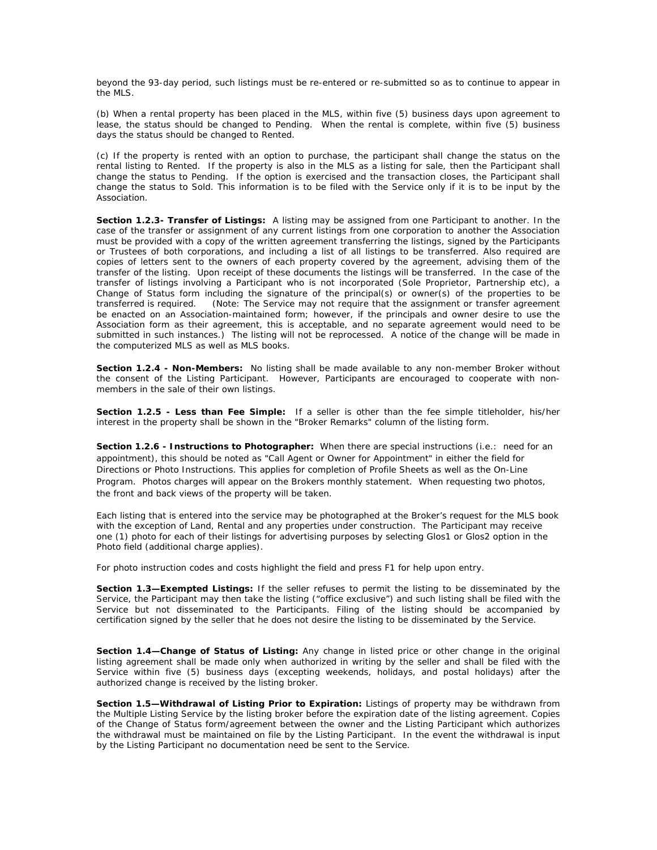beyond the 93-day period, such listings must be re-entered or re-submitted so as to continue to appear in the MLS.

(b) When a rental property has been placed in the MLS, within five (5) business days upon agreement to lease, the status should be changed to Pending. When the rental is complete, within five (5) business days the status should be changed to Rented.

(c) If the property is rented with an option to purchase, the participant shall change the status on the rental listing to Rented. If the property is also in the MLS as a listing for sale, then the Participant shall change the status to Pending. If the option is exercised and the transaction closes, the Participant shall change the status to Sold. This information is to be filed with the Service only if it is to be input by the Association.

**Section 1.2.3- Transfer of Listings:** A listing may be assigned from one Participant to another. In the case of the transfer or assignment of any current listings from one corporation to another the Association must be provided with a copy of the written agreement transferring the listings, signed by the Participants or Trustees of both corporations, and including a list of all listings to be transferred. Also required are copies of letters sent to the owners of each property covered by the agreement, advising them of the transfer of the listing. Upon receipt of these documents the listings will be transferred. In the case of the transfer of listings involving a Participant who is not incorporated (Sole Proprietor, Partnership etc), a Change of Status form including the signature of the principal(s) or owner(s) of the properties to be transferred is required. (Note: The Service may not require that the assignment or transfer agreement be enacted on an Association-maintained form; however, if the principals and owner desire to use the Association form as their agreement, this is acceptable, and no separate agreement would need to be submitted in such instances.) The listing will not be reprocessed. A notice of the change will be made in the computerized MLS as well as MLS books.

**Section 1.2.4 - Non-Members:** No listing shall be made available to any non-member Broker without the consent of the Listing Participant. However, Participants are encouraged to cooperate with nonmembers in the sale of their own listings.

**Section 1.2.5 - Less than Fee Simple:** If a seller is other than the fee simple titleholder, his/her interest in the property shall be shown in the "Broker Remarks" column of the listing form.

**Section 1.2.6 - Instructions to Photographer:** When there are special instructions (i.e.: need for an appointment), this should be noted as "Call Agent or Owner for Appointment" in either the field for Directions or Photo Instructions. This applies for completion of Profile Sheets as well as the On-Line Program. Photos charges will appear on the Brokers monthly statement. When requesting two photos, the front and back views of the property will be taken.

Each listing that is entered into the service may be photographed at the Broker's request for the MLS book with the exception of Land, Rental and any properties under construction. The Participant may receive one (1) photo for each of their listings for advertising purposes by selecting Glos1 or Glos2 option in the Photo field (additional charge applies).

For photo instruction codes and costs highlight the field and press F1 for help upon entry.

**Section 1.3—Exempted Listings:** If the seller refuses to permit the listing to be disseminated by the Service, the Participant may then take the listing ("office exclusive") and such listing shall be filed with the Service but not disseminated to the Participants. Filing of the listing should be accompanied by certification signed by the seller that he does not desire the listing to be disseminated by the Service.

**Section 1.4—Change of Status of Listing:** Any change in listed price or other change in the original listing agreement shall be made only when authorized in writing by the seller and shall be filed with the Service within five (5) business days (excepting weekends, holidays, and postal holidays) after the authorized change is received by the listing broker.

**Section 1.5—Withdrawal of Listing Prior to Expiration:** Listings of property may be withdrawn from the Multiple Listing Service by the listing broker before the expiration date of the listing agreement. Copies of the Change of Status form/agreement between the owner and the Listing Participant which authorizes the withdrawal must be maintained on file by the Listing Participant. In the event the withdrawal is input by the Listing Participant no documentation need be sent to the Service.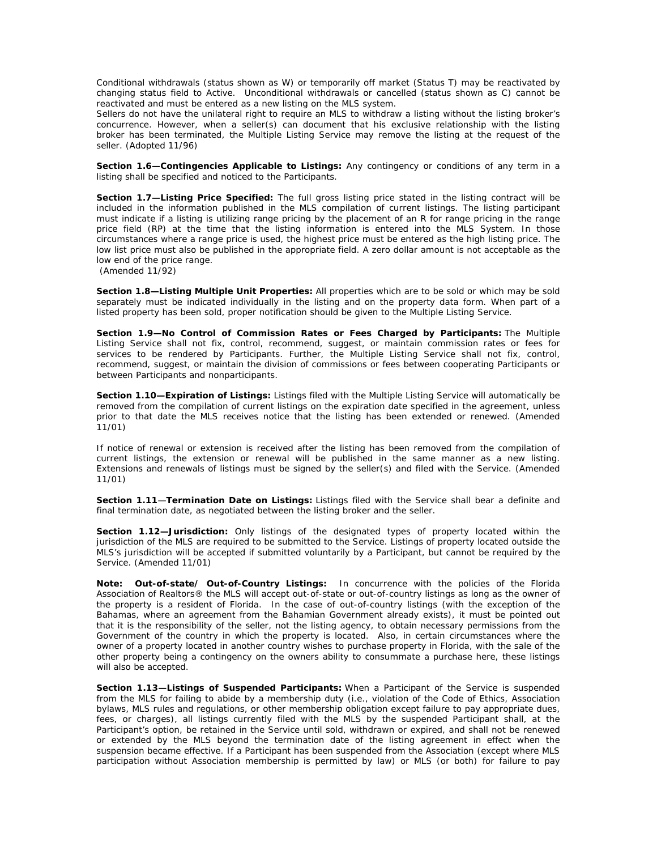Conditional withdrawals (status shown as W) or temporarily off market (Status T) may be reactivated by changing status field to Active. Unconditional withdrawals or cancelled (status shown as C) cannot be reactivated and must be entered as a new listing on the MLS system.

Sellers do not have the unilateral right to require an MLS to withdraw a listing without the listing broker's concurrence. However, when a seller(s) can document that his exclusive relationship with the listing broker has been terminated, the Multiple Listing Service may remove the listing at the request of the seller. (Adopted 11/96)

**Section 1.6—Contingencies Applicable to Listings:** Any contingency or conditions of any term in a listing shall be specified and noticed to the Participants.

**Section 1.7—Listing Price Specified:** The full gross listing price stated in the listing contract will be included in the information published in the MLS compilation of current listings. The listing participant must indicate if a listing is utilizing range pricing by the placement of an R for range pricing in the range price field (RP) at the time that the listing information is entered into the MLS System. In those circumstances where a range price is used, the highest price must be entered as the high listing price. The low list price must also be published in the appropriate field. A zero dollar amount is not acceptable as the low end of the price range.

(Amended 11/92)

**Section 1.8—Listing Multiple Unit Properties:** All properties which are to be sold or which may be sold separately must be indicated individually in the listing and on the property data form. When part of a listed property has been sold, proper notification should be given to the Multiple Listing Service.

**Section 1.9—No Control of Commission Rates or Fees Charged by Participants:** The Multiple Listing Service shall not fix, control, recommend, suggest, or maintain commission rates or fees for services to be rendered by Participants. Further, the Multiple Listing Service shall not fix, control, recommend, suggest, or maintain the division of commissions or fees between cooperating Participants or between Participants and nonparticipants.

**Section 1.10—Expiration of Listings:** Listings filed with the Multiple Listing Service will automatically be removed from the compilation of current listings on the expiration date specified in the agreement, unless prior to that date the MLS receives notice that the listing has been extended or renewed. (Amended 11/01)

If notice of renewal or extension is received after the listing has been removed from the compilation of current listings, the extension or renewal will be published in the same manner as a new listing. Extensions and renewals of listings must be signed by the seller(s) and filed with the Service. (Amended 11/01)

**Section 1.11**—**Termination Date on Listings:** Listings filed with the Service shall bear a definite and final termination date, as negotiated between the listing broker and the seller.

**Section 1.12—Jurisdiction:** Only listings of the designated types of property located within the jurisdiction of the MLS are required to be submitted to the Service. Listings of property located outside the MLS's jurisdiction will be accepted if submitted voluntarily by a Participant, but cannot be required by the Service. (Amended 11/01)

**Note: Out-of-state/ Out-of-Country Listings:** In concurrence with the policies of the Florida Association of Realtors® the MLS will accept out-of-state or out-of-country listings as long as the owner of the property is a resident of Florida. In the case of out-of-country listings (with the exception of the Bahamas, where an agreement from the Bahamian Government already exists), it must be pointed out that it is the responsibility of the seller, not the listing agency, to obtain necessary permissions from the Government of the country in which the property is located. Also, in certain circumstances where the owner of a property located in another country wishes to purchase property in Florida, with the sale of the other property being a contingency on the owners ability to consummate a purchase here, these listings will also be accepted.

**Section 1.13—Listings of Suspended Participants:** When a Participant of the Service is suspended from the MLS for failing to abide by a membership duty (i.e., violation of the Code of Ethics, Association bylaws, MLS rules and regulations, or other membership obligation except failure to pay appropriate dues, fees, or charges), all listings currently filed with the MLS by the suspended Participant shall, at the Participant's option, be retained in the Service until sold, withdrawn or expired, and shall not be renewed or extended by the MLS beyond the termination date of the listing agreement in effect when the suspension became effective. If a Participant has been suspended from the Association (except where MLS participation without Association membership is permitted by law) or MLS (or both) for failure to pay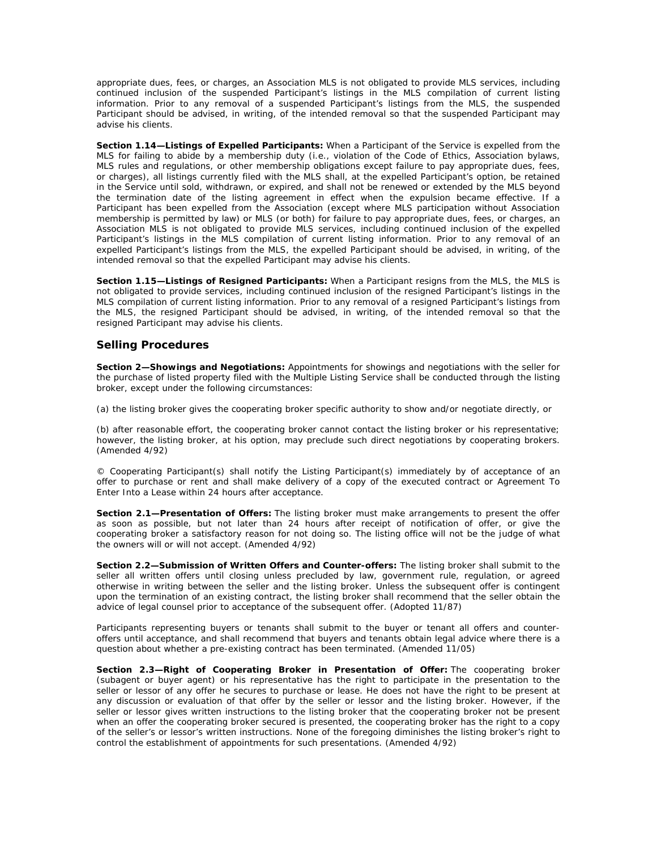appropriate dues, fees, or charges, an Association MLS is not obligated to provide MLS services, including continued inclusion of the suspended Participant's listings in the MLS compilation of current listing information. Prior to any removal of a suspended Participant's listings from the MLS, the suspended Participant should be advised, in writing, of the intended removal so that the suspended Participant may advise his clients.

**Section 1.14—Listings of Expelled Participants:** When a Participant of the Service is expelled from the MLS for failing to abide by a membership duty (i.e., violation of the Code of Ethics, Association bylaws, MLS rules and regulations, or other membership obligations except failure to pay appropriate dues, fees, or charges), all listings currently filed with the MLS shall, at the expelled Participant's option, be retained in the Service until sold, withdrawn, or expired, and shall not be renewed or extended by the MLS beyond the termination date of the listing agreement in effect when the expulsion became effective. If a Participant has been expelled from the Association (except where MLS participation without Association membership is permitted by law) or MLS (or both) for failure to pay appropriate dues, fees, or charges, an Association MLS is not obligated to provide MLS services, including continued inclusion of the expelled Participant's listings in the MLS compilation of current listing information. Prior to any removal of an expelled Participant's listings from the MLS, the expelled Participant should be advised, in writing, of the intended removal so that the expelled Participant may advise his clients.

**Section 1.15—Listings of Resigned Participants:** When a Participant resigns from the MLS, the MLS is not obligated to provide services, including continued inclusion of the resigned Participant's listings in the MLS compilation of current listing information. Prior to any removal of a resigned Participant's listings from the MLS, the resigned Participant should be advised, in writing, of the intended removal so that the resigned Participant may advise his clients.

# **Selling Procedures**

**Section 2—Showings and Negotiations:** Appointments for showings and negotiations with the seller for the purchase of listed property filed with the Multiple Listing Service shall be conducted through the listing broker, except under the following circumstances:

(a) the listing broker gives the cooperating broker specific authority to show and/or negotiate directly, or

(b) after reasonable effort, the cooperating broker cannot contact the listing broker or his representative; however, the listing broker, at his option, may preclude such direct negotiations by cooperating brokers. (Amended 4/92)

© Cooperating Participant(s) shall notify the Listing Participant(s) immediately by of acceptance of an offer to purchase or rent and shall make delivery of a copy of the executed contract or Agreement To Enter Into a Lease within 24 hours after acceptance.

**Section 2.1—Presentation of Offers:** The listing broker must make arrangements to present the offer as soon as possible, but not later than 24 hours after receipt of notification of offer, or give the cooperating broker a satisfactory reason for not doing so. The listing office will not be the judge of what the owners will or will not accept. (Amended 4/92)

**Section 2.2—Submission of Written Offers and Counter-offers:** The listing broker shall submit to the seller all written offers until closing unless precluded by law, government rule, regulation, or agreed otherwise in writing between the seller and the listing broker. Unless the subsequent offer is contingent upon the termination of an existing contract, the listing broker shall recommend that the seller obtain the advice of legal counsel prior to acceptance of the subsequent offer. (Adopted 11/87)

Participants representing buyers or tenants shall submit to the buyer or tenant all offers and counteroffers until acceptance, and shall recommend that buyers and tenants obtain legal advice where there is a question about whether a pre-existing contract has been terminated. *(Amended 11/05)*

**Section 2.3—Right of Cooperating Broker in Presentation of Offer:** The cooperating broker (subagent or buyer agent) or his representative has the right to participate in the presentation to the seller or lessor of any offer he secures to purchase or lease. He does not have the right to be present at any discussion or evaluation of that offer by the seller or lessor and the listing broker. However, if the seller or lessor gives written instructions to the listing broker that the cooperating broker not be present when an offer the cooperating broker secured is presented, the cooperating broker has the right to a copy of the seller's or lessor's written instructions. None of the foregoing diminishes the listing broker's right to control the establishment of appointments for such presentations. (Amended 4/92)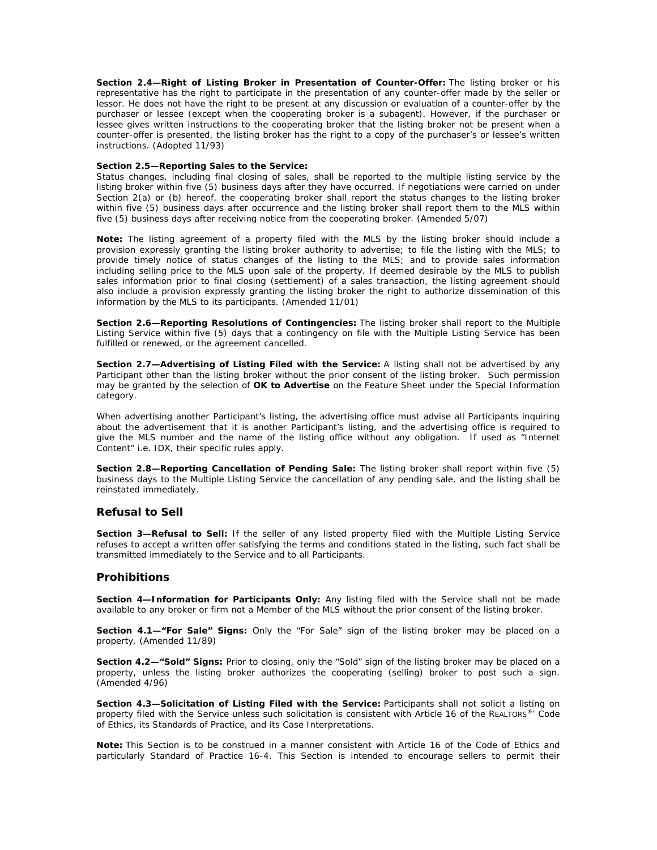**Section 2.4—Right of Listing Broker in Presentation of Counter-Offer:** The listing broker or his representative has the right to participate in the presentation of any counter-offer made by the seller or lessor. He does not have the right to be present at any discussion or evaluation of a counter-offer by the purchaser or lessee (except when the cooperating broker is a subagent). However, if the purchaser or lessee gives written instructions to the cooperating broker that the listing broker not be present when a counter-offer is presented, the listing broker has the right to a copy of the purchaser's or lessee's written instructions. (Adopted 11/93)

### **Section 2.5—Reporting Sales to the Service:**

Status changes, including final closing of sales, shall be reported to the multiple listing service by the listing broker within five (5) business days after they have occurred. If negotiations were carried on under Section 2(a) or (b) hereof, the cooperating broker shall report the status changes to the listing broker within five (5) business days after occurrence and the listing broker shall report them to the MLS within five (5) business days after receiving notice from the cooperating broker. *(Amended 5/07)*

**Note:** The listing agreement of a property filed with the MLS by the listing broker should include a provision expressly granting the listing broker authority to advertise; to file the listing with the MLS; to provide timely notice of status changes of the listing to the MLS; and to provide sales information including selling price to the MLS upon sale of the property. If deemed desirable by the MLS to publish sales information prior to final closing (settlement) of a sales transaction, the listing agreement should also include a provision expressly granting the listing broker the right to authorize dissemination of this information by the MLS to its participants. (Amended 11/01)

**Section 2.6—Reporting Resolutions of Contingencies:** The listing broker shall report to the Multiple Listing Service within five (5) days that a contingency on file with the Multiple Listing Service has been fulfilled or renewed, or the agreement cancelled.

**Section 2.7—Advertising of Listing Filed with the Service:** A listing shall not be advertised by any Participant other than the listing broker without the prior consent of the listing broker. Such permission may be granted by the selection of **OK to Advertise** on the Feature Sheet under the Special Information category.

When advertising another Participant's listing, the advertising office must advise all Participants inquiring about the advertisement that it is another Participant's listing, and the advertising office is required to give the MLS number and the name of the listing office without any obligation. If used as "Internet Content" i.e. IDX, their specific rules apply.

**Section 2.8—Reporting Cancellation of Pending Sale:** The listing broker shall report within five (5) business days to the Multiple Listing Service the cancellation of any pending sale, and the listing shall be reinstated immediately.

## **Refusal to Sell**

Section 3-Refusal to Sell: If the seller of any listed property filed with the Multiple Listing Service refuses to accept a written offer satisfying the terms and conditions stated in the listing, such fact shall be transmitted immediately to the Service and to all Participants.

## **Prohibitions**

**Section 4—Information for Participants Only:** Any listing filed with the Service shall not be made available to any broker or firm not a Member of the MLS without the prior consent of the listing broker.

**Section 4.1—"For Sale" Signs:** Only the "For Sale" sign of the listing broker may be placed on a property. (Amended 11/89)

**Section 4.2—"Sold" Signs:** Prior to closing, only the "Sold" sign of the listing broker may be placed on a property, unless the listing broker authorizes the cooperating (selling) broker to post such a sign. (Amended 4/96)

Section 4.3-Solicitation of Listing Filed with the Service: Participants shall not solicit a listing on property filed with the Service unless such solicitation is consistent with Article 16 of the REALTORS®' Code of Ethics, its Standards of Practice, and its Case Interpretations.

**Note:** This Section is to be construed in a manner consistent with Article 16 of the Code of Ethics and particularly Standard of Practice 16-4. This Section is intended to encourage sellers to permit their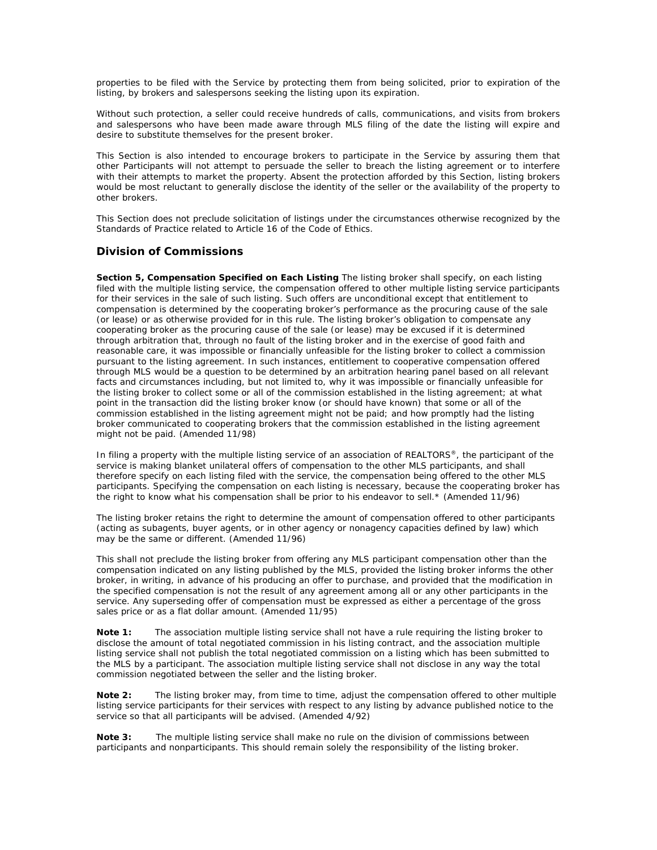properties to be filed with the Service by protecting them from being solicited, prior to expiration of the listing, by brokers and salespersons seeking the listing upon its expiration.

Without such protection, a seller could receive hundreds of calls, communications, and visits from brokers and salespersons who have been made aware through MLS filing of the date the listing will expire and desire to substitute themselves for the present broker.

This Section is also intended to encourage brokers to participate in the Service by assuring them that other Participants will not attempt to persuade the seller to breach the listing agreement or to interfere with their attempts to market the property. Absent the protection afforded by this Section, listing brokers would be most reluctant to generally disclose the identity of the seller or the availability of the property to other brokers.

This Section does not preclude solicitation of listings under the circumstances otherwise recognized by the Standards of Practice related to Article 16 of the Code of Ethics.

# **Division of Commissions**

**Section 5, Compensation Specified on Each Listing** The listing broker shall specify, on each listing filed with the multiple listing service, the compensation offered to other multiple listing service participants for their services in the sale of such listing. Such offers are unconditional except that entitlement to compensation is determined by the cooperating broker's performance as the procuring cause of the sale (or lease) or as otherwise provided for in this rule. The listing broker's obligation to compensate any cooperating broker as the procuring cause of the sale (or lease) may be excused if it is determined through arbitration that, through no fault of the listing broker and in the exercise of good faith and reasonable care, it was impossible or financially unfeasible for the listing broker to collect a commission pursuant to the listing agreement. In such instances, entitlement to cooperative compensation offered through MLS would be a question to be determined by an arbitration hearing panel based on all relevant facts and circumstances including, but not limited to, why it was impossible or financially unfeasible for the listing broker to collect some or all of the commission established in the listing agreement; at what point in the transaction did the listing broker know (or should have known) that some or all of the commission established in the listing agreement might not be paid; and how promptly had the listing broker communicated to cooperating brokers that the commission established in the listing agreement might not be paid. (Amended 11/98)

In filing a property with the multiple listing service of an association of REALTORS®, the participant of the service is making blanket unilateral offers of compensation to the other MLS participants, and shall therefore specify on each listing filed with the service, the compensation being offered to the other MLS participants. Specifying the compensation on each listing is necessary, because the cooperating broker has the right to know what his compensation shall be prior to his endeavor to sell.\* (Amended 11/96)

The listing broker retains the right to determine the amount of compensation offered to other participants (acting as subagents, buyer agents, or in other agency or nonagency capacities defined by law) which may be the same or different. (Amended 11/96)

This shall not preclude the listing broker from offering any MLS participant compensation other than the compensation indicated on any listing published by the MLS, provided the listing broker informs the other broker, in writing, in advance of his producing an offer to purchase, and provided that the modification in the specified compensation is not the result of any agreement among all or any other participants in the service. Any superseding offer of compensation must be expressed as either a percentage of the gross sales price or as a flat dollar amount. (Amended 11/95)

**Note 1:** The association multiple listing service shall not have a rule requiring the listing broker to disclose the amount of total negotiated commission in his listing contract, and the association multiple listing service shall not publish the total negotiated commission on a listing which has been submitted to the MLS by a participant. The association multiple listing service shall not disclose in any way the total commission negotiated between the seller and the listing broker.

**Note 2:** The listing broker may, from time to time, adjust the compensation offered to other multiple listing service participants for their services with respect to any listing by advance published notice to the service so that all participants will be advised. (Amended 4/92)

**Note 3:** The multiple listing service shall make no rule on the division of commissions between participants and nonparticipants. This should remain solely the responsibility of the listing broker.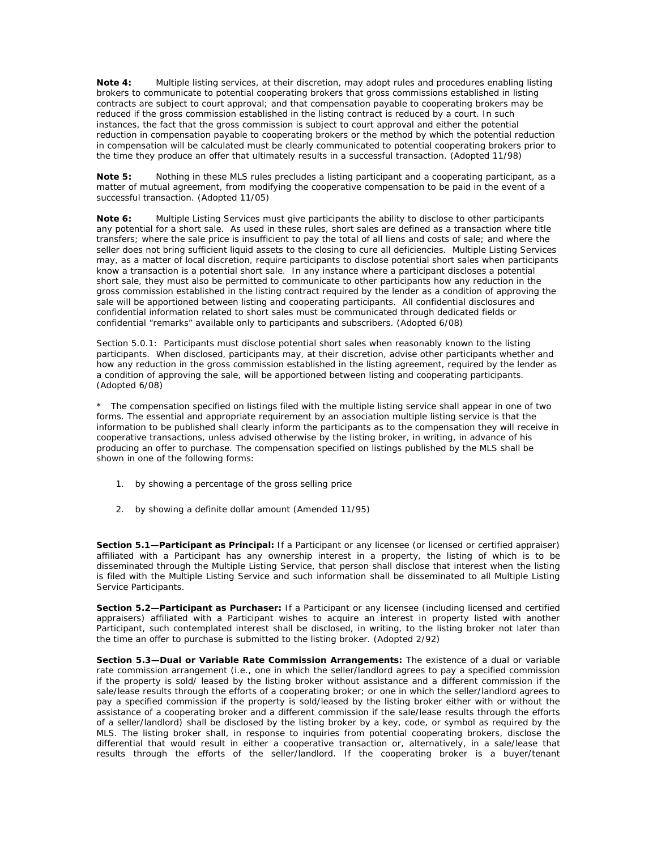**Note 4:** Multiple listing services, at their discretion, may adopt rules and procedures enabling listing brokers to communicate to potential cooperating brokers that gross commissions established in listing contracts are subject to court approval; and that compensation payable to cooperating brokers may be reduced if the gross commission established in the listing contract is reduced by a court. In such instances, the fact that the gross commission is subject to court approval and either the potential reduction in compensation payable to cooperating brokers or the method by which the potential reduction in compensation will be calculated must be clearly communicated to potential cooperating brokers prior to the time they produce an offer that ultimately results in a successful transaction. (Adopted 11/98)

**Note 5:** Nothing in these MLS rules precludes a listing participant and a cooperating participant, as a matter of mutual agreement, from modifying the cooperative compensation to be paid in the event of a successful transaction. (Adopted 11/05)

**Note 6:** Multiple Listing Services must give participants the ability to disclose to other participants any potential for a short sale. As used in these rules, short sales are defined as a transaction where title transfers; where the sale price is insufficient to pay the total of all liens and costs of sale; and where the seller does not bring sufficient liquid assets to the closing to cure all deficiencies. Multiple Listing Services may, as a matter of local discretion, require participants to disclose potential short sales when participants know a transaction is a potential short sale. In any instance where a participant discloses a potential short sale, they must also be permitted to communicate to other participants how any reduction in the gross commission established in the listing contract required by the lender as a condition of approving the sale will be apportioned between listing and cooperating participants. All confidential disclosures and confidential information related to short sales must be communicated through dedicated fields or confidential "remarks" available only to participants and subscribers. (Adopted 6/08)

Section 5.0.1: Participants must disclose potential short sales when reasonably known to the listing participants. When disclosed, participants may, at their discretion, advise other participants whether and how any reduction in the gross commission established in the listing agreement, required by the lender as a condition of approving the sale, will be apportioned between listing and cooperating participants. (Adopted 6/08)

\* The compensation specified on listings filed with the multiple listing service shall appear in one of two forms. The essential and appropriate requirement by an association multiple listing service is that the information to be published shall clearly inform the participants as to the compensation they will receive in cooperative transactions, unless advised otherwise by the listing broker, in writing, in advance of his producing an offer to purchase. The compensation specified on listings published by the MLS shall be shown in one of the following forms:

- 1. by showing a percentage of the gross selling price
- 2. by showing a definite dollar amount (Amended 11/95)

**Section 5.1—Participant as Principal:** If a Participant or any licensee (or licensed or certified appraiser) affiliated with a Participant has any ownership interest in a property, the listing of which is to be disseminated through the Multiple Listing Service, that person shall disclose that interest when the listing is filed with the Multiple Listing Service and such information shall be disseminated to all Multiple Listing Service Participants.

**Section 5.2—Participant as Purchaser:** If a Participant or any licensee (including licensed and certified appraisers) affiliated with a Participant wishes to acquire an interest in property listed with another Participant, such contemplated interest shall be disclosed, in writing, to the listing broker not later than the time an offer to purchase is submitted to the listing broker. (Adopted 2/92)

**Section 5.3—Dual or Variable Rate Commission Arrangements:** The existence of a dual or variable rate commission arrangement (i.e., one in which the seller/landlord agrees to pay a specified commission if the property is sold/ leased by the listing broker without assistance and a different commission if the sale/lease results through the efforts of a cooperating broker; or one in which the seller/landlord agrees to pay a specified commission if the property is sold/leased by the listing broker either with or without the assistance of a cooperating broker and a different commission if the sale/lease results through the efforts of a seller/landlord) shall be disclosed by the listing broker by a key, code, or symbol as required by the MLS. The listing broker shall, in response to inquiries from potential cooperating brokers, disclose the differential that would result in either a cooperative transaction or, alternatively, in a sale/lease that results through the efforts of the seller/landlord. If the cooperating broker is a buyer/tenant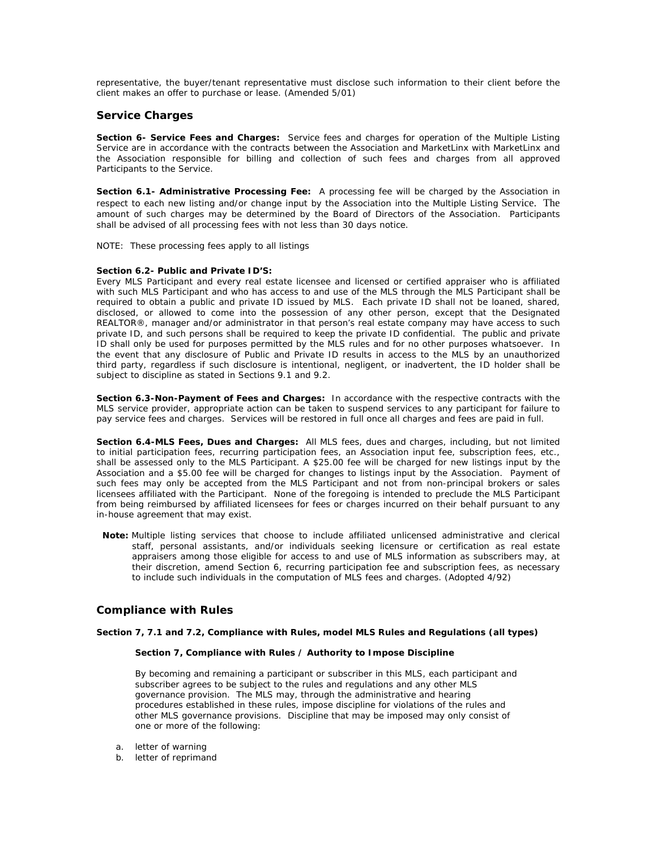representative, the buyer/tenant representative must disclose such information to their client before the client makes an offer to purchase or lease. (Amended 5/01)

# **Service Charges**

**Section 6- Service Fees and Charges:** Service fees and charges for operation of the Multiple Listing Service are in accordance with the contracts between the Association and MarketLinx with MarketLinx and the Association responsible for billing and collection of such fees and charges from all approved Participants to the Service.

**Section 6.1- Administrative Processing Fee:** A processing fee will be charged by the Association in respect to each new listing and/or change input by the Association into the Multiple Listing Service. The amount of such charges may be determined by the Board of Directors of the Association. Participants shall be advised of all processing fees with not less than 30 days notice.

NOTE: These processing fees apply to all listings

#### **Section 6.2- Public and Private ID'S:**

Every MLS Participant and every real estate licensee and licensed or certified appraiser who is affiliated with such MLS Participant and who has access to and use of the MLS through the MLS Participant shall be required to obtain a public and private ID issued by MLS. Each private ID shall not be loaned, shared, disclosed, or allowed to come into the possession of any other person, except that the Designated REALTOR®, manager and/or administrator in that person's real estate company may have access to such private ID, and such persons shall be required to keep the private ID confidential. The public and private ID shall only be used for purposes permitted by the MLS rules and for no other purposes whatsoever. In the event that any disclosure of Public and Private ID results in access to the MLS by an unauthorized third party, regardless if such disclosure is intentional, negligent, or inadvertent, the ID holder shall be subject to discipline as stated in Sections 9.1 and 9.2.

**Section 6.3-Non-Payment of Fees and Charges:** In accordance with the respective contracts with the MLS service provider, appropriate action can be taken to suspend services to any participant for failure to pay service fees and charges. Services will be restored in full once all charges and fees are paid in full.

**Section 6.4-MLS Fees, Dues and Charges:** All MLS fees, dues and charges, including, but not limited to initial participation fees, recurring participation fees, an Association input fee, subscription fees, etc., shall be assessed only to the MLS Participant. A \$25.00 fee will be charged for new listings input by the Association and a \$5.00 fee will be charged for changes to listings input by the Association. Payment of such fees may only be accepted from the MLS Participant and not from non-principal brokers or sales licensees affiliated with the Participant. None of the foregoing is intended to preclude the MLS Participant from being reimbursed by affiliated licensees for fees or charges incurred on their behalf pursuant to any in-house agreement that may exist.

 **Note:** Multiple listing services that choose to include affiliated unlicensed administrative and clerical staff, personal assistants, and/or individuals seeking licensure or certification as real estate appraisers among those eligible for access to and use of MLS information as subscribers may, at their discretion, amend Section 6, recurring participation fee and subscription fees, as necessary to include such individuals in the computation of MLS fees and charges*. (Adopted 4/92)*

## **Compliance with Rules**

### **Section 7, 7.1 and 7.2, Compliance with Rules, model MLS Rules and Regulations (all types)**

### **Section 7, Compliance with Rules / Authority to Impose Discipline**

By becoming and remaining a participant or subscriber in this MLS, each participant and subscriber agrees to be subject to the rules and regulations and any other MLS governance provision. The MLS may, through the administrative and hearing procedures established in these rules, impose discipline for violations of the rules and other MLS governance provisions. Discipline that may be imposed may only consist of one or more of the following:

- a. letter of warning
- b. letter of reprimand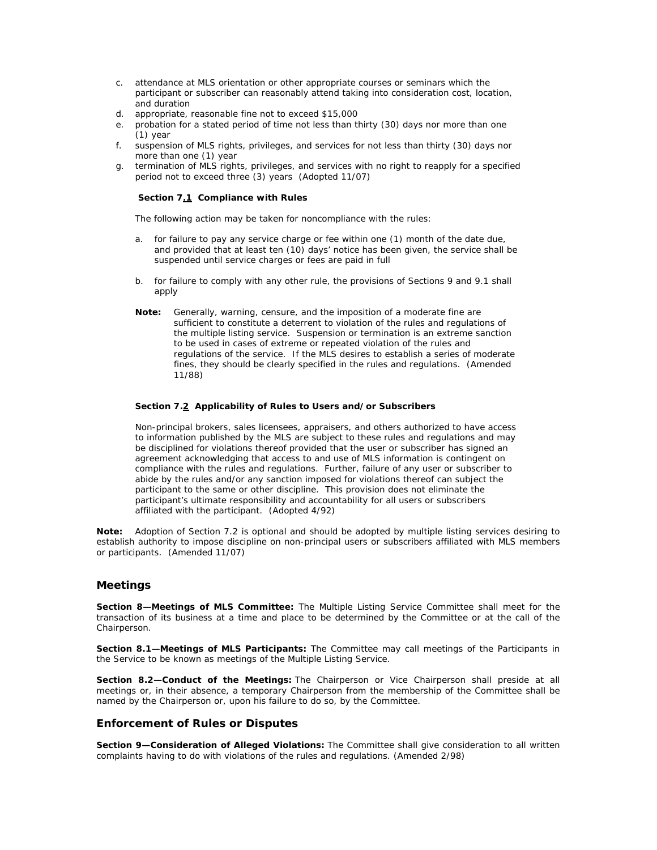- c. attendance at MLS orientation or other appropriate courses or seminars which the participant or subscriber can reasonably attend taking into consideration cost, location, and duration
- d. appropriate, reasonable fine not to exceed \$15,000
- e. probation for a stated period of time not less than thirty (30) days nor more than one (1) year
- f. suspension of MLS rights, privileges, and services for not less than thirty (30) days nor more than one (1) year
- g. termination of MLS rights, privileges, and services with no right to reapply for a specified period not to exceed three (3) years (Adopted 11/07)

### **Section 7.1 Compliance with Rules**

The following action may be taken for noncompliance with the rules:

- a. for failure to pay any service charge or fee within one (1) month of the date due, and provided that at least ten (10) days' notice has been given, the service shall be suspended until service charges or fees are paid in full
- b. for failure to comply with any other rule, the provisions of Sections 9 and 9.1 shall apply
- **Note:** Generally, warning, censure, and the imposition of a moderate fine are sufficient to constitute a deterrent to violation of the rules and regulations of the multiple listing service. Suspension or termination is an extreme sanction to be used in cases of extreme or repeated violation of the rules and regulations of the service. If the MLS desires to establish a series of moderate fines, they should be clearly specified in the rules and regulations. (Amended 11/88)

#### **Section 7.2 Applicability of Rules to Users and/or Subscribers**

Non-principal brokers, sales licensees, appraisers, and others authorized to have access to information published by the MLS are subject to these rules and regulations and may be disciplined for violations thereof provided that the user or subscriber has signed an agreement acknowledging that access to and use of MLS information is contingent on compliance with the rules and regulations. Further, failure of any user or subscriber to abide by the rules and/or any sanction imposed for violations thereof can subject the participant to the same or other discipline. This provision does not eliminate the participant's ultimate responsibility and accountability for all users or subscribers affiliated with the participant. (Adopted 4/92)

**Note:** Adoption of Section 7.2 is optional and should be adopted by multiple listing services desiring to establish authority to impose discipline on non-principal users or subscribers affiliated with MLS members or participants. (Amended 11/07)

## **Meetings**

**Section 8—Meetings of MLS Committee:** The Multiple Listing Service Committee shall meet for the transaction of its business at a time and place to be determined by the Committee or at the call of the Chairperson.

**Section 8.1—Meetings of MLS Participants:** The Committee may call meetings of the Participants in the Service to be known as meetings of the Multiple Listing Service.

**Section 8.2—Conduct of the Meetings:** The Chairperson or Vice Chairperson shall preside at all meetings or, in their absence, a temporary Chairperson from the membership of the Committee shall be named by the Chairperson or, upon his failure to do so, by the Committee.

## **Enforcement of Rules or Disputes**

**Section 9—Consideration of Alleged Violations:** The Committee shall give consideration to all written complaints having to do with violations of the rules and regulations. (Amended 2/98)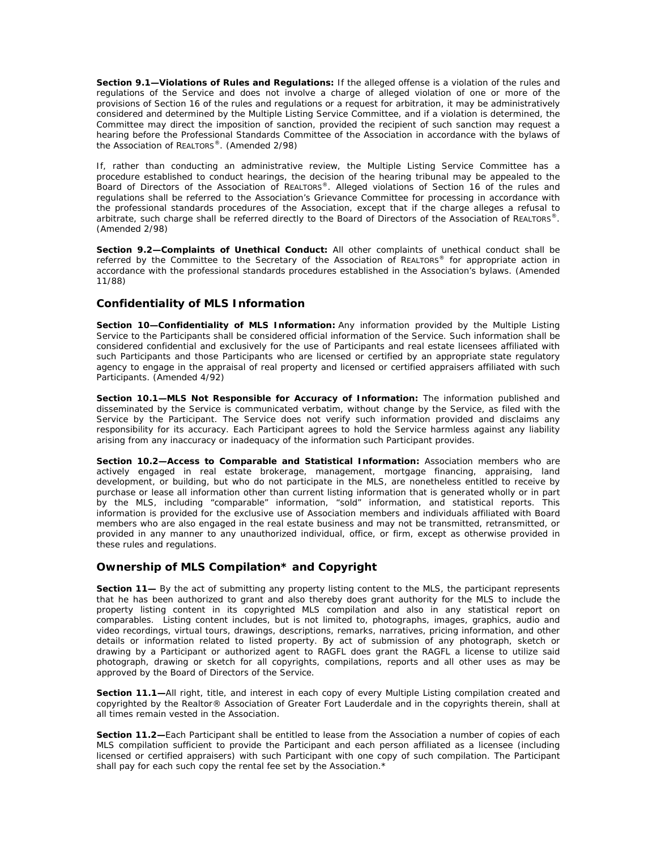**Section 9.1—Violations of Rules and Regulations:** If the alleged offense is a violation of the rules and regulations of the Service and does not involve a charge of alleged violation of one or more of the provisions of Section 16 of the rules and regulations or a request for arbitration, it may be administratively considered and determined by the Multiple Listing Service Committee, and if a violation is determined, the Committee may direct the imposition of sanction, provided the recipient of such sanction may request a hearing before the Professional Standards Committee of the Association in accordance with the bylaws of the Association of REALTORS®. (Amended 2/98)

If, rather than conducting an administrative review, the Multiple Listing Service Committee has a procedure established to conduct hearings, the decision of the hearing tribunal may be appealed to the Board of Directors of the Association of REALTORS®. Alleged violations of Section 16 of the rules and regulations shall be referred to the Association's Grievance Committee for processing in accordance with the professional standards procedures of the Association, except that if the charge alleges a refusal to arbitrate, such charge shall be referred directly to the Board of Directors of the Association of REALTORS®. (Amended 2/98)

**Section 9.2—Complaints of Unethical Conduct:** All other complaints of unethical conduct shall be referred by the Committee to the Secretary of the Association of REALTORS® for appropriate action in accordance with the professional standards procedures established in the Association's bylaws. (Amended 11/88)

# **Confidentiality of MLS Information**

**Section 10—Confidentiality of MLS Information:** Any information provided by the Multiple Listing Service to the Participants shall be considered official information of the Service. Such information shall be considered confidential and exclusively for the use of Participants and real estate licensees affiliated with such Participants and those Participants who are licensed or certified by an appropriate state regulatory agency to engage in the appraisal of real property and licensed or certified appraisers affiliated with such Participants. (Amended 4/92)

**Section 10.1—MLS Not Responsible for Accuracy of Information:** The information published and disseminated by the Service is communicated verbatim, without change by the Service, as filed with the Service by the Participant. The Service does not verify such information provided and disclaims any responsibility for its accuracy. Each Participant agrees to hold the Service harmless against any liability arising from any inaccuracy or inadequacy of the information such Participant provides.

**Section 10.2—Access to Comparable and Statistical Information:** Association members who are actively engaged in real estate brokerage, management, mortgage financing, appraising, land development, or building, but who do not participate in the MLS, are nonetheless entitled to receive by purchase or lease all information other than current listing information that is generated wholly or in part by the MLS, including "comparable" information, "sold" information, and statistical reports. This information is provided for the exclusive use of Association members and individuals affiliated with Board members who are also engaged in the real estate business and may not be transmitted, retransmitted, or provided in any manner to any unauthorized individual, office, or firm, except as otherwise provided in these rules and regulations.

# **Ownership of MLS Compilation\* and Copyright**

**Section 11—** By the act of submitting any property listing content to the MLS, the participant represents that he has been authorized to grant and also thereby does grant authority for the MLS to include the property listing content in its copyrighted MLS compilation and also in any statistical report on comparables. Listing content includes, but is not limited to, photographs, images, graphics, audio and video recordings, virtual tours, drawings, descriptions, remarks, narratives, pricing information, and other details or information related to listed property. By act of submission of any photograph, sketch or drawing by a Participant or authorized agent to RAGFL does grant the RAGFL a license to utilize said photograph, drawing or sketch for all copyrights, compilations, reports and all other uses as may be approved by the Board of Directors of the Service.

**Section 11.1—**All right, title, and interest in each copy of every Multiple Listing compilation created and copyrighted by the Realtor® Association of Greater Fort Lauderdale and in the copyrights therein, shall at all times remain vested in the Association.

**Section 11.2—**Each Participant shall be entitled to lease from the Association a number of copies of each MLS compilation sufficient to provide the Participant and each person affiliated as a licensee (including licensed or certified appraisers) with such Participant with one copy of such compilation. The Participant shall pay for each such copy the rental fee set by the Association.\*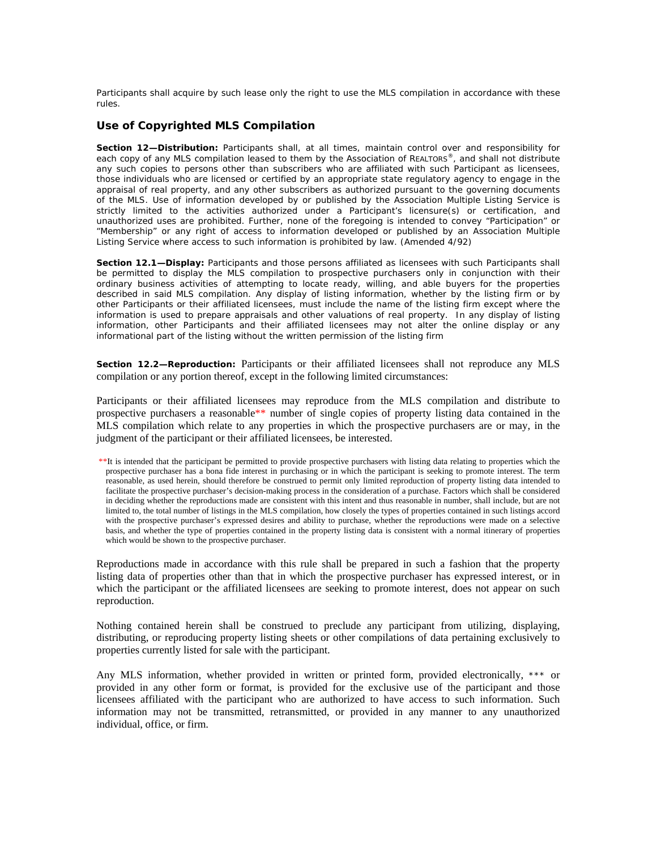Participants shall acquire by such lease only the right to use the MLS compilation in accordance with these rules.

# **Use of Copyrighted MLS Compilation**

**Section 12—Distribution:** Participants shall, at all times, maintain control over and responsibility for each copy of any MLS compilation leased to them by the Association of REALTORS®, and shall not distribute any such copies to persons other than subscribers who are affiliated with such Participant as licensees, those individuals who are licensed or certified by an appropriate state regulatory agency to engage in the appraisal of real property, and any other subscribers as authorized pursuant to the governing documents of the MLS. Use of information developed by or published by the Association Multiple Listing Service is strictly limited to the activities authorized under a Participant's licensure(s) or certification, and unauthorized uses are prohibited. Further, none of the foregoing is intended to convey "Participation" or "Membership" or any right of access to information developed or published by an Association Multiple Listing Service where access to such information is prohibited by law. (Amended 4/92)

**Section 12.1—Display:** Participants and those persons affiliated as licensees with such Participants shall be permitted to display the MLS compilation to prospective purchasers only in conjunction with their ordinary business activities of attempting to locate ready, willing, and able buyers for the properties described in said MLS compilation. Any display of listing information, whether by the listing firm or by other Participants or their affiliated licensees, must include the name of the listing firm except where the information is used to prepare appraisals and other valuations of real property. In any display of listing information, other Participants and their affiliated licensees may not alter the online display or any informational part of the listing without the written permission of the listing firm

**Section 12.2—Reproduction:** Participants or their affiliated licensees shall not reproduce any MLS compilation or any portion thereof, except in the following limited circumstances:

Participants or their affiliated licensees may reproduce from the MLS compilation and distribute to prospective purchasers a reasonable\*\* number of single copies of property listing data contained in the MLS compilation which relate to any properties in which the prospective purchasers are or may, in the judgment of the participant or their affiliated licensees, be interested.

 \*\*It is intended that the participant be permitted to provide prospective purchasers with listing data relating to properties which the prospective purchaser has a bona fide interest in purchasing or in which the participant is seeking to promote interest. The term reasonable, as used herein, should therefore be construed to permit only limited reproduction of property listing data intended to facilitate the prospective purchaser's decision-making process in the consideration of a purchase. Factors which shall be considered in deciding whether the reproductions made are consistent with this intent and thus reasonable in number, shall include, but are not limited to, the total number of listings in the MLS compilation, how closely the types of properties contained in such listings accord with the prospective purchaser's expressed desires and ability to purchase, whether the reproductions were made on a selective basis, and whether the type of properties contained in the property listing data is consistent with a normal itinerary of properties which would be shown to the prospective purchaser.

Reproductions made in accordance with this rule shall be prepared in such a fashion that the property listing data of properties other than that in which the prospective purchaser has expressed interest, or in which the participant or the affiliated licensees are seeking to promote interest, does not appear on such reproduction.

Nothing contained herein shall be construed to preclude any participant from utilizing, displaying, distributing, or reproducing property listing sheets or other compilations of data pertaining exclusively to properties currently listed for sale with the participant.

Any MLS information, whether provided in written or printed form, provided electronically, \*\*\* or provided in any other form or format, is provided for the exclusive use of the participant and those licensees affiliated with the participant who are authorized to have access to such information. Such information may not be transmitted, retransmitted, or provided in any manner to any unauthorized individual, office, or firm.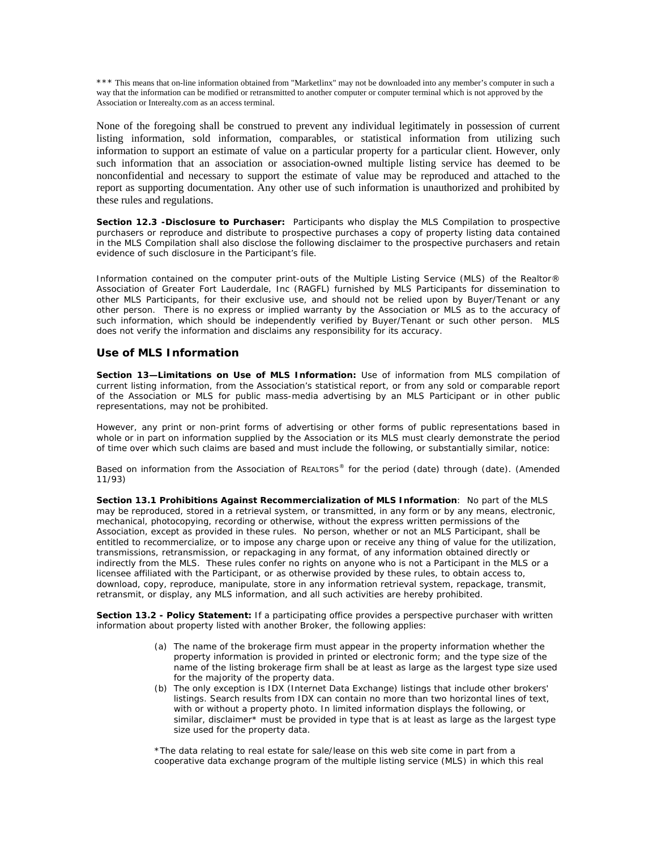\*\*\* This means that on-line information obtained from "Marketlinx" may not be downloaded into any member's computer in such a way that the information can be modified or retransmitted to another computer or computer terminal which is not approved by the Association or Interealty.com as an access terminal.

None of the foregoing shall be construed to prevent any individual legitimately in possession of current listing information, sold information, comparables, or statistical information from utilizing such information to support an estimate of value on a particular property for a particular client. However, only such information that an association or association-owned multiple listing service has deemed to be nonconfidential and necessary to support the estimate of value may be reproduced and attached to the report as supporting documentation. Any other use of such information is unauthorized and prohibited by these rules and regulations.

**Section 12.3 -Disclosure to Purchaser:** Participants who display the MLS Compilation to prospective purchasers or reproduce and distribute to prospective purchases a copy of property listing data contained in the MLS Compilation shall also disclose the following disclaimer to the prospective purchasers and retain evidence of such disclosure in the Participant's file.

Information contained on the computer print-outs of the Multiple Listing Service (MLS) of the Realtor® Association of Greater Fort Lauderdale, Inc (RAGFL) furnished by MLS Participants for dissemination to other MLS Participants, for their exclusive use, and should not be relied upon by Buyer/Tenant or any other person. There is no express or implied warranty by the Association or MLS as to the accuracy of such information, which should be independently verified by Buyer/Tenant or such other person. MLS does not verify the information and disclaims any responsibility for its accuracy.

# **Use of MLS Information**

**Section 13—Limitations on Use of MLS Information:** Use of information from MLS compilation of current listing information, from the Association's statistical report, or from any sold or comparable report of the Association or MLS for public mass-media advertising by an MLS Participant or in other public representations, may not be prohibited.

However, any print or non-print forms of advertising or other forms of public representations based in whole or in part on information supplied by the Association or its MLS must clearly demonstrate the period of time over which such claims are based and must include the following, or substantially similar, notice:

Based on information from the Association of REALTORS® for the period (date) through (date). (Amended 11/93)

**Section 13.1 Prohibitions Against Recommercialization of MLS Information**: No part of the MLS may be reproduced, stored in a retrieval system, or transmitted, in any form or by any means, electronic, mechanical, photocopying, recording or otherwise, without the express written permissions of the Association, except as provided in these rules. No person, whether or not an MLS Participant, shall be entitled to recommercialize, or to impose any charge upon or receive any thing of value for the utilization, transmissions, retransmission, or repackaging in any format, of any information obtained directly or indirectly from the MLS. These rules confer no rights on anyone who is not a Participant in the MLS or a licensee affiliated with the Participant, or as otherwise provided by these rules, to obtain access to, download, copy, reproduce, manipulate, store in any information retrieval system, repackage, transmit, retransmit, or display, any MLS information, and all such activities are hereby prohibited.

**Section 13.2 - Policy Statement:** If a participating office provides a perspective purchaser with written information about property listed with another Broker, the following applies:

- (a) The name of the brokerage firm must appear in the property information whether the property information is provided in printed or electronic form; and the type size of the name of the listing brokerage firm shall be at least as large as the largest type size used for the majority of the property data.
- (b) The only exception is IDX (Internet Data Exchange) listings that include other brokers' listings. Search results from IDX can contain no more than two horizontal lines of text, with or without a property photo. In limited information displays the following, or similar, disclaimer\* must be provided in type that is at least as large as the largest type size used for the property data.

\*The data relating to real estate for sale/lease on this web site come in part from a cooperative data exchange program of the multiple listing service (MLS) in which this real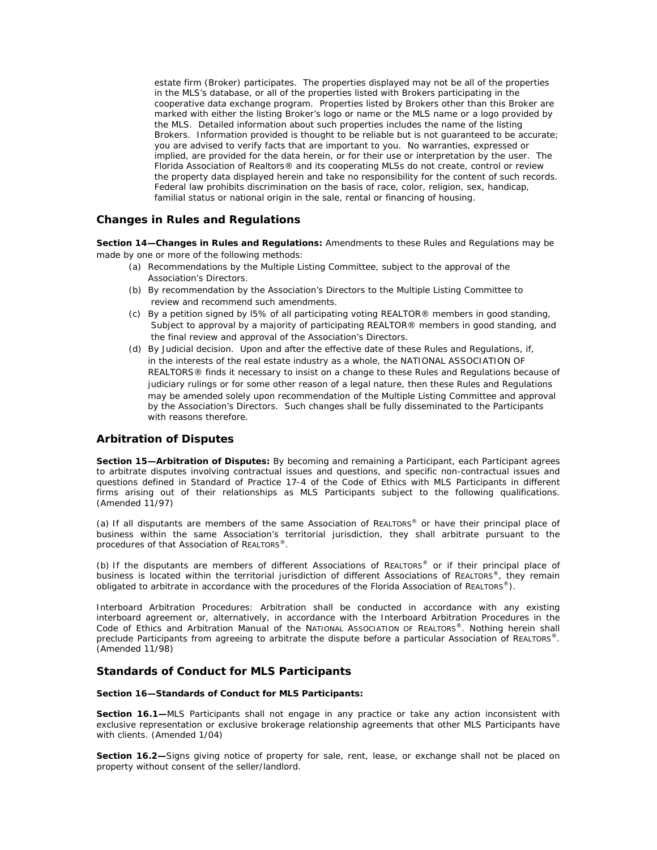estate firm (Broker) participates. The properties displayed may not be all of the properties in the MLS's database, or all of the properties listed with Brokers participating in the cooperative data exchange program. Properties listed by Brokers other than this Broker are marked with either the listing Broker's logo or name or the MLS name or a logo provided by the MLS. Detailed information about such properties includes the name of the listing Brokers. Information provided is thought to be reliable but is not guaranteed to be accurate; you are advised to verify facts that are important to you. No warranties, expressed or implied, are provided for the data herein, or for their use or interpretation by the user. The Florida Association of Realtors® and its cooperating MLSs do not create, control or review the property data displayed herein and take no responsibility for the content of such records. Federal law prohibits discrimination on the basis of race, color, religion, sex, handicap, familial status or national origin in the sale, rental or financing of housing.

# **Changes in Rules and Regulations**

**Section 14—Changes in Rules and Regulations:** Amendments to these Rules and Regulations may be made by one or more of the following methods:

- (a) Recommendations by the Multiple Listing Committee, subject to the approval of the Association's Directors.
- (b) By recommendation by the Association's Directors to the Multiple Listing Committee to review and recommend such amendments.
- (c) By a petition signed by l5% of all participating voting REALTOR® members in good standing, Subject to approval by a majority of participating REALTOR® members in good standing, and the final review and approval of the Association's Directors.
- (d) By Judicial decision. Upon and after the effective date of these Rules and Regulations, if, in the interests of the real estate industry as a whole, the NATIONAL ASSOCIATION OF REALTORS® finds it necessary to insist on a change to these Rules and Regulations because of judiciary rulings or for some other reason of a legal nature, then these Rules and Regulations may be amended solely upon recommendation of the Multiple Listing Committee and approval by the Association's Directors. Such changes shall be fully disseminated to the Participants with reasons therefore.

## **Arbitration of Disputes**

**Section 15—Arbitration of Disputes:** By becoming and remaining a Participant, each Participant agrees to arbitrate disputes involving contractual issues and questions, and specific non-contractual issues and questions defined in Standard of Practice 17-4 of the Code of Ethics with MLS Participants in different firms arising out of their relationships as MLS Participants subject to the following qualifications. (Amended 11/97)

(a) If all disputants are members of the same Association of REALTORS® or have their principal place of business within the same Association's territorial jurisdiction, they shall arbitrate pursuant to the procedures of that Association of REALTORS®.

(b) If the disputants are members of different Associations of REALTORS® or if their principal place of business is located within the territorial jurisdiction of different Associations of REALTORS<sup>®</sup>, they remain obligated to arbitrate in accordance with the procedures of the Florida Association of REALTORS<sup>®</sup>).

Interboard Arbitration Procedures: Arbitration shall be conducted in accordance with any existing interboard agreement or, alternatively, in accordance with the Interboard Arbitration Procedures in the Code of Ethics and Arbitration Manual of the NATIONAL ASSOCIATION OF REALTORS®. Nothing herein shall preclude Participants from agreeing to arbitrate the dispute before a particular Association of REALTORS®. (Amended 11/98)

## **Standards of Conduct for MLS Participants**

#### **Section 16—Standards of Conduct for MLS Participants:**

**Section 16.1—**MLS Participants shall not engage in any practice or take any action inconsistent with exclusive representation or exclusive brokerage relationship agreements that other MLS Participants have with clients. (Amended 1/04)

**Section 16.2—**Signs giving notice of property for sale, rent, lease, or exchange shall not be placed on property without consent of the seller/landlord.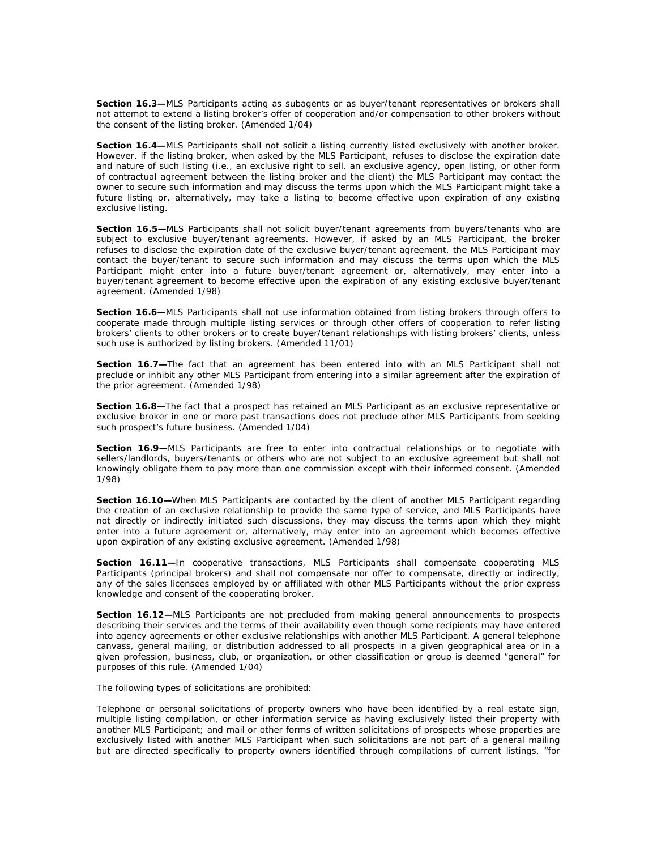**Section 16.3—**MLS Participants acting as subagents or as buyer/tenant representatives or brokers shall not attempt to extend a listing broker's offer of cooperation and/or compensation to other brokers without the consent of the listing broker. (Amended 1/04)

**Section 16.4—MLS** Participants shall not solicit a listing currently listed exclusively with another broker. However, if the listing broker, when asked by the MLS Participant, refuses to disclose the expiration date and nature of such listing (i.e., an exclusive right to sell, an exclusive agency, open listing, or other form of contractual agreement between the listing broker and the client) the MLS Participant may contact the owner to secure such information and may discuss the terms upon which the MLS Participant might take a future listing or, alternatively, may take a listing to become effective upon expiration of any existing exclusive listing.

**Section 16.5—**MLS Participants shall not solicit buyer/tenant agreements from buyers/tenants who are subject to exclusive buyer/tenant agreements. However, if asked by an MLS Participant, the broker refuses to disclose the expiration date of the exclusive buyer/tenant agreement, the MLS Participant may contact the buyer/tenant to secure such information and may discuss the terms upon which the MLS Participant might enter into a future buyer/tenant agreement or, alternatively, may enter into a buyer/tenant agreement to become effective upon the expiration of any existing exclusive buyer/tenant agreement. (Amended 1/98)

**Section 16.6—**MLS Participants shall not use information obtained from listing brokers through offers to cooperate made through multiple listing services or through other offers of cooperation to refer listing brokers' clients to other brokers or to create buyer/tenant relationships with listing brokers' clients, unless such use is authorized by listing brokers. (Amended 11/01)

**Section 16.7—**The fact that an agreement has been entered into with an MLS Participant shall not preclude or inhibit any other MLS Participant from entering into a similar agreement after the expiration of the prior agreement. (Amended 1/98)

**Section 16.8—**The fact that a prospect has retained an MLS Participant as an exclusive representative or exclusive broker in one or more past transactions does not preclude other MLS Participants from seeking such prospect's future business. (Amended 1/04)

**Section 16.9—**MLS Participants are free to enter into contractual relationships or to negotiate with sellers/landlords, buyers/tenants or others who are not subject to an exclusive agreement but shall not knowingly obligate them to pay more than one commission except with their informed consent. (Amended 1/98)

**Section 16.10—**When MLS Participants are contacted by the client of another MLS Participant regarding the creation of an exclusive relationship to provide the same type of service, and MLS Participants have not directly or indirectly initiated such discussions, they may discuss the terms upon which they might enter into a future agreement or, alternatively, may enter into an agreement which becomes effective upon expiration of any existing exclusive agreement. (Amended 1/98)

**Section 16.11—**In cooperative transactions, MLS Participants shall compensate cooperating MLS Participants (principal brokers) and shall not compensate nor offer to compensate, directly or indirectly, any of the sales licensees employed by or affiliated with other MLS Participants without the prior express knowledge and consent of the cooperating broker.

**Section 16.12—**MLS Participants are not precluded from making general announcements to prospects describing their services and the terms of their availability even though some recipients may have entered into agency agreements or other exclusive relationships with another MLS Participant. A general telephone canvass, general mailing, or distribution addressed to all prospects in a given geographical area or in a given profession, business, club, or organization, or other classification or group is deemed "general" for purposes of this rule. (Amended 1/04)

The following types of solicitations are prohibited:

Telephone or personal solicitations of property owners who have been identified by a real estate sign, multiple listing compilation, or other information service as having exclusively listed their property with another MLS Participant; and mail or other forms of written solicitations of prospects whose properties are exclusively listed with another MLS Participant when such solicitations are not part of a general mailing but are directed specifically to property owners identified through compilations of current listings, "for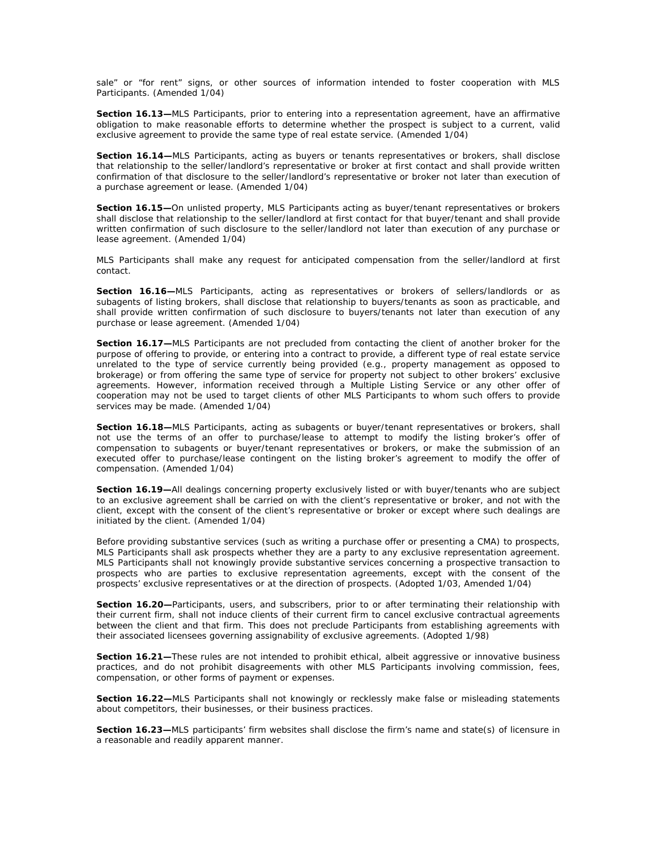sale" or "for rent" signs, or other sources of information intended to foster cooperation with MLS Participants. (Amended 1/04)

**Section 16.13–MLS** Participants, prior to entering into a representation agreement, have an affirmative obligation to make reasonable efforts to determine whether the prospect is subject to a current, valid exclusive agreement to provide the same type of real estate service. (Amended 1/04)

**Section 16.14—**MLS Participants, acting as buyers or tenants representatives or brokers, shall disclose that relationship to the seller/landlord's representative or broker at first contact and shall provide written confirmation of that disclosure to the seller/landlord's representative or broker not later than execution of a purchase agreement or lease. (Amended 1/04)

**Section 16.15—**On unlisted property, MLS Participants acting as buyer/tenant representatives or brokers shall disclose that relationship to the seller/landlord at first contact for that buyer/tenant and shall provide written confirmation of such disclosure to the seller/landlord not later than execution of any purchase or lease agreement. (Amended 1/04)

MLS Participants shall make any request for anticipated compensation from the seller/landlord at first contact.

**Section 16.16—**MLS Participants, acting as representatives or brokers of sellers/landlords or as subagents of listing brokers, shall disclose that relationship to buyers/tenants as soon as practicable, and shall provide written confirmation of such disclosure to buyers/tenants not later than execution of any purchase or lease agreement. (Amended 1/04)

**Section 16.17—**MLS Participants are not precluded from contacting the client of another broker for the purpose of offering to provide, or entering into a contract to provide, a different type of real estate service unrelated to the type of service currently being provided (e.g., property management as opposed to brokerage) or from offering the same type of service for property not subject to other brokers' exclusive agreements. However, information received through a Multiple Listing Service or any other offer of cooperation may not be used to target clients of other MLS Participants to whom such offers to provide services may be made. (Amended 1/04)

**Section 16.18—**MLS Participants, acting as subagents or buyer/tenant representatives or brokers, shall not use the terms of an offer to purchase/lease to attempt to modify the listing broker's offer of compensation to subagents or buyer/tenant representatives or brokers, or make the submission of an executed offer to purchase/lease contingent on the listing broker's agreement to modify the offer of compensation. (Amended 1/04)

**Section 16.19—**All dealings concerning property exclusively listed or with buyer/tenants who are subject to an exclusive agreement shall be carried on with the client's representative or broker, and not with the client, except with the consent of the client's representative or broker or except where such dealings are initiated by the client. (Amended 1/04)

Before providing substantive services (such as writing a purchase offer or presenting a CMA) to prospects, MLS Participants shall ask prospects whether they are a party to any exclusive representation agreement. MLS Participants shall not knowingly provide substantive services concerning a prospective transaction to prospects who are parties to exclusive representation agreements, except with the consent of the prospects' exclusive representatives or at the direction of prospects. (Adopted 1/03, Amended 1/04)

Section 16.20-Participants, users, and subscribers, prior to or after terminating their relationship with their current firm, shall not induce clients of their current firm to cancel exclusive contractual agreements between the client and that firm. This does not preclude Participants from establishing agreements with their associated licensees governing assignability of exclusive agreements. (Adopted 1/98)

**Section 16.21—**These rules are not intended to prohibit ethical, albeit aggressive or innovative business practices, and do not prohibit disagreements with other MLS Participants involving commission, fees, compensation, or other forms of payment or expenses.

**Section 16.22—**MLS Participants shall not knowingly or recklessly make false or misleading statements about competitors, their businesses, or their business practices.

**Section 16.23—**MLS participants' firm websites shall disclose the firm's name and state(s) of licensure in a reasonable and readily apparent manner.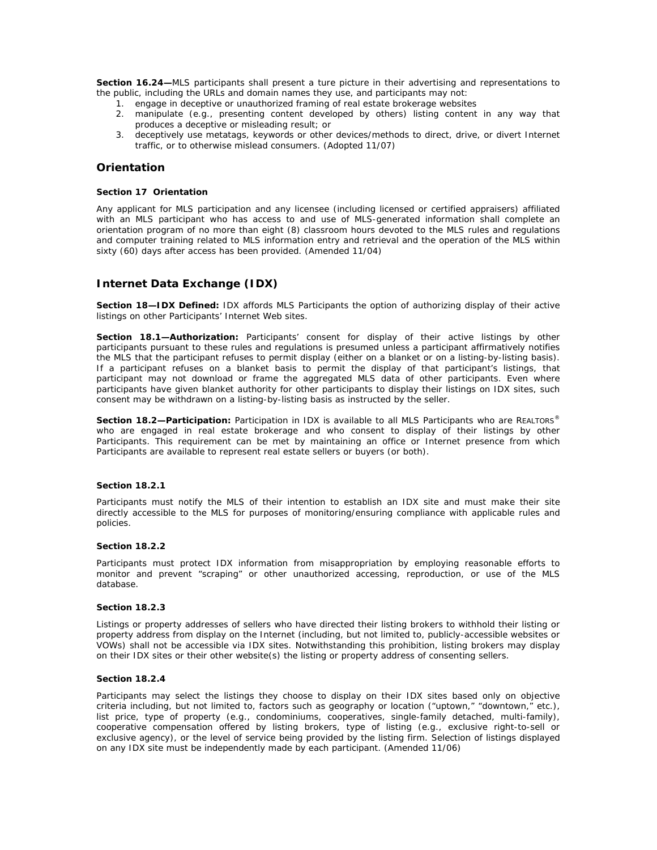**Section 16.24—**MLS participants shall present a ture picture in their advertising and representations to the public, including the URLs and domain names they use, and participants may not:

- 1. engage in deceptive or unauthorized framing of real estate brokerage websites
- 2. manipulate (e.g., presenting content developed by others) listing content in any way that produces a deceptive or misleading result; or
- 3. deceptively use metatags, keywords or other devices/methods to direct, drive, or divert Internet traffic, or to otherwise mislead consumers. *(Adopted 11/07)*

# **Orientation**

#### **Section 17 Orientation**

Any applicant for MLS participation and any licensee (including licensed or certified appraisers) affiliated with an MLS participant who has access to and use of MLS-generated information shall complete an orientation program of no more than eight (8) classroom hours devoted to the MLS rules and regulations and computer training related to MLS information entry and retrieval and the operation of the MLS within sixty (60) days after access has been provided. *(Amended 11/04)* 

# **Internet Data Exchange (IDX)**

**Section 18—IDX Defined:** IDX affords MLS Participants the option of authorizing display of their active listings on other Participants' Internet Web sites.

**Section 18.1—Authorization:** Participants' consent for display of their active listings by other participants pursuant to these rules and regulations is presumed unless a participant affirmatively notifies the MLS that the participant refuses to permit display (either on a blanket or on a listing-by-listing basis). If a participant refuses on a blanket basis to permit the display of that participant's listings, that participant may not download or frame the aggregated MLS data of other participants. Even where participants have given blanket authority for other participants to display their listings on IDX sites, such consent may be withdrawn on a listing-by-listing basis as instructed by the seller.

**Section 18.2—Participation:** Participation in IDX is available to all MLS Participants who are REALTORS® who are engaged in real estate brokerage and who consent to display of their listings by other Participants. This requirement can be met by maintaining an office or Internet presence from which Participants are available to represent real estate sellers or buyers (or both).

### **Section 18.2.1**

Participants must notify the MLS of their intention to establish an IDX site and must make their site directly accessible to the MLS for purposes of monitoring/ensuring compliance with applicable rules and policies.

### **Section 18.2.2**

Participants must protect IDX information from misappropriation by employing reasonable efforts to monitor and prevent "scraping" or other unauthorized accessing, reproduction, or use of the MLS database.

#### **Section 18.2.3**

Listings or property addresses of sellers who have directed their listing brokers to withhold their listing or property address from display on the Internet (including, but not limited to, publicly-accessible websites or VOWs) shall not be accessible via IDX sites. Notwithstanding this prohibition, listing brokers may display on their IDX sites or their other website(s) the listing or property address of consenting sellers.

### **Section 18.2.4**

Participants may select the listings they choose to display on their IDX sites based only on objective criteria including, but not limited to, factors such as geography or location ("uptown," "downtown," etc.), list price, type of property (e.g., condominiums, cooperatives, single-family detached, multi-family), cooperative compensation offered by listing brokers, type of listing (e.g., exclusive right-to-sell or exclusive agency), or the level of service being provided by the listing firm. Selection of listings displayed on any IDX site must be independently made by each participant*. (Amended 11/06)*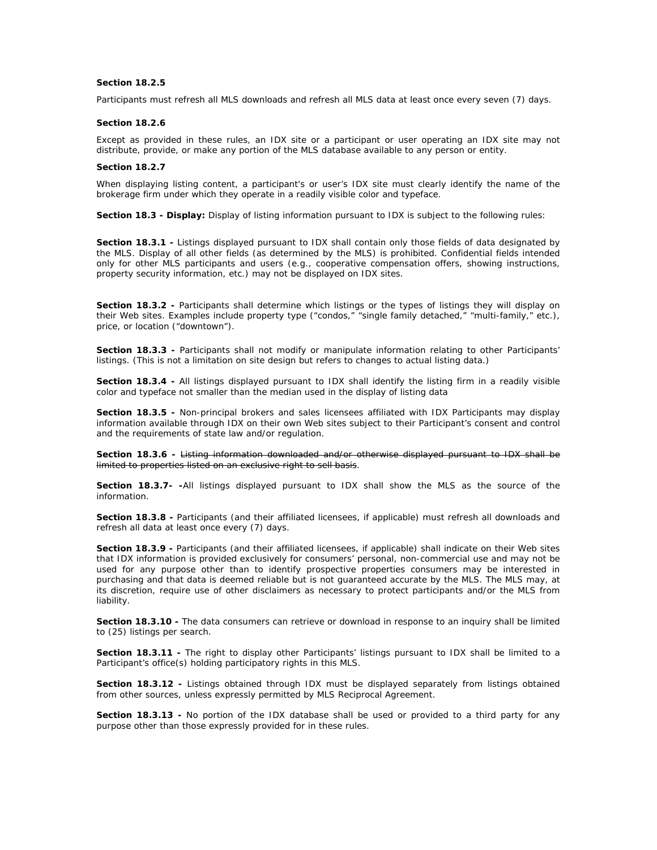### **Section 18.2.5**

Participants must refresh all MLS downloads and refresh all MLS data at least once every seven (7) days.

#### **Section 18.2.6**

Except as provided in these rules, an IDX site or a participant or user operating an IDX site may not distribute, provide, or make any portion of the MLS database available to any person or entity.

#### **Section 18.2.7**

When displaying listing content, a participant's or user's IDX site must clearly identify the name of the brokerage firm under which they operate in a readily visible color and typeface.

**Section 18.3 - Display:** Display of listing information pursuant to IDX is subject to the following rules:

**Section 18.3.1 -** Listings displayed pursuant to IDX shall contain only those fields of data designated by the MLS. Display of all other fields (as determined by the MLS) is prohibited. Confidential fields intended only for other MLS participants and users (e.g., cooperative compensation offers, showing instructions, property security information, etc.) may not be displayed on IDX sites.

**Section 18.3.2 -** Participants shall determine which listings or the types of listings they will display on their Web sites. Examples include property type ("condos," "single family detached," "multi-family," etc.), price, or location ("downtown").

**Section 18.3.3 -** Participants shall not modify or manipulate information relating to other Participants' listings. (This is not a limitation on site design but refers to changes to actual listing data.)

**Section 18.3.4 -** All listings displayed pursuant to IDX shall identify the listing firm in a readily visible color and typeface not smaller than the median used in the display of listing data

**Section 18.3.5 -** Non-principal brokers and sales licensees affiliated with IDX Participants may display information available through IDX on their own Web sites subject to their Participant's consent and control and the requirements of state law and/or regulation.

**Section 18.3.6 -** Listing information downloaded and/or otherwise displayed pursuant to IDX shall be limited to properties listed on an exclusive right to sell basis.

**Section 18.3.7- -**All listings displayed pursuant to IDX shall show the MLS as the source of the information.

**Section 18.3.8 -** Participants (and their affiliated licensees, if applicable) must refresh all downloads and refresh all data at least once every (7) days.

**Section 18.3.9 -** Participants (and their affiliated licensees, if applicable) shall indicate on their Web sites that IDX information is provided exclusively for consumers' personal, non-commercial use and may not be used for any purpose other than to identify prospective properties consumers may be interested in purchasing and that data is deemed reliable but is not guaranteed accurate by the MLS. The MLS may, at its discretion, require use of other disclaimers as necessary to protect participants and/or the MLS from liability.

**Section 18.3.10 -** The data consumers can retrieve or download in response to an inquiry shall be limited to (25) listings per search.

**Section 18.3.11 -** The right to display other Participants' listings pursuant to IDX shall be limited to a Participant's office(s) holding participatory rights in this MLS.

**Section 18.3.12 -** Listings obtained through IDX must be displayed separately from listings obtained from other sources, unless expressly permitted by MLS Reciprocal Agreement.

**Section 18.3.13 -** No portion of the IDX database shall be used or provided to a third party for any purpose other than those expressly provided for in these rules.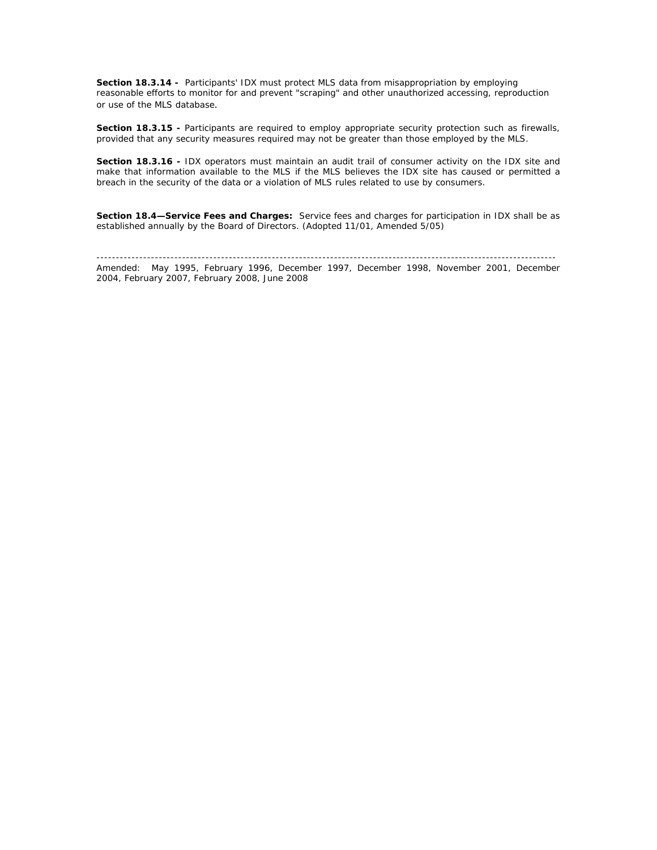**Section 18.3.14 -** Participants' IDX must protect MLS data from misappropriation by employing reasonable efforts to monitor for and prevent "scraping" and other unauthorized accessing, reproduction or use of the MLS database.

**Section 18.3.15 - Participants are required to employ appropriate security protection such as firewalls,** provided that any security measures required may not be greater than those employed by the MLS.

**Section 18.3.16 -** IDX operators must maintain an audit trail of consumer activity on the IDX site and make that information available to the MLS if the MLS believes the IDX site has caused or permitted a breach in the security of the data or a violation of MLS rules related to use by consumers.

**Section 18.4—Service Fees and Charges:** Service fees and charges for participation in IDX shall be as established annually by the Board of Directors. (Adopted 11/01, Amended 5/05)

---------------------------------------------------------------------------------------------------------------------- Amended: May 1995, February 1996, December 1997, December 1998, November 2001, December 2004, February 2007, February 2008, June 2008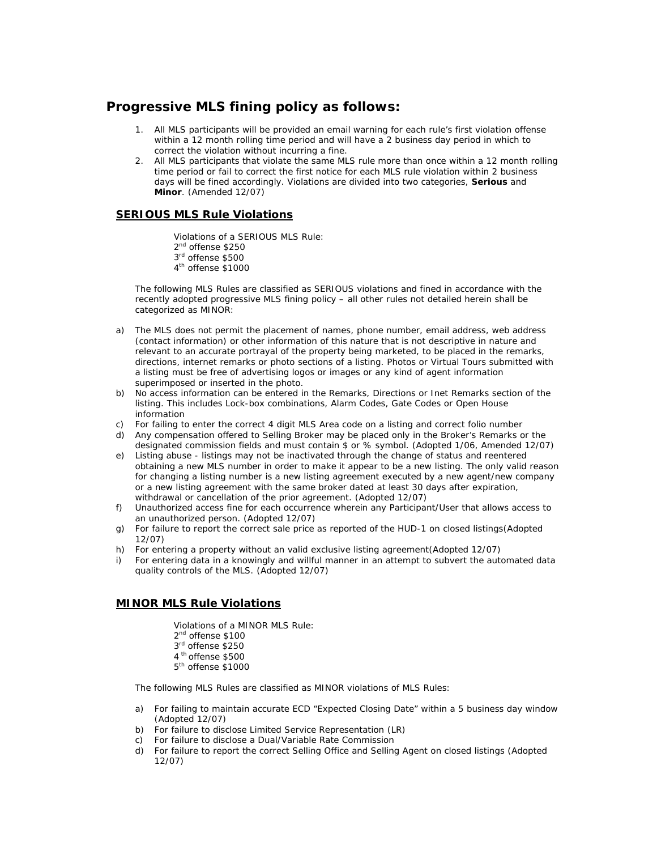# **Progressive MLS fining policy as follows:**

- 1. All MLS participants will be provided an email warning for each rule's first violation offense within a 12 month rolling time period and will have a 2 business day period in which to correct the violation without incurring a fine.
- 2. All MLS participants that violate the same MLS rule more than once within a 12 month rolling time period or fail to correct the first notice for each MLS rule violation within 2 business days will be fined accordingly. Violations are divided into two categories, *Serious* and *Minor*. (Amended 12/07)

# **SERIOUS MLS Rule Violations**

Violations of a *SERIOUS* MLS Rule:

- 2<sup>nd</sup> offense \$250
- 3rd offense \$500
- 4<sup>th</sup> offense \$1000

The following MLS Rules are classified as *SERIOUS* violations and fined in accordance with the recently adopted progressive MLS fining policy – all other rules not detailed herein shall be categorized as *MINOR*:

- a) The MLS does not permit the placement of names, phone number, email address, web address (contact information) or other information of this nature that is not descriptive in nature and relevant to an accurate portrayal of the property being marketed, to be placed in the remarks, directions, internet remarks or photo sections of a listing. Photos or Virtual Tours submitted with a listing must be free of advertising logos or images or any kind of agent information superimposed or inserted in the photo.
- b) No access information can be entered in the Remarks, Directions or Inet Remarks section of the listing. This includes Lock-box combinations, Alarm Codes, Gate Codes or Open House information
- c) For failing to enter the correct 4 digit MLS Area code on a listing and correct folio number
- d) Any compensation offered to Selling Broker may be placed only in the Broker's Remarks or the designated commission fields and must contain \$ or % symbol. (Adopted 1/06, Amended 12/07)
- e) Listing abuse listings may not be inactivated through the change of status and reentered obtaining a new MLS number in order to make it appear to be a new listing. The only valid reason for changing a listing number is a new listing agreement executed by a new agent/new company or a new listing agreement with the same broker dated at least 30 days after expiration, withdrawal or cancellation of the prior agreement. (Adopted 12/07)
- f) Unauthorized access fine for each occurrence wherein any Participant/User that allows access to an unauthorized person. (Adopted 12/07)
- g) For failure to report the correct sale price as reported of the HUD-1 on closed listings(Adopted 12/07)
- h) For entering a property without an valid exclusive listing agreement(Adopted 12/07)
- i) For entering data in a knowingly and willful manner in an attempt to subvert the automated data quality controls of the MLS. (Adopted 12/07)

# **MINOR MLS Rule Violations**

 Violations of a *MINOR* MLS Rule: 2<sup>nd</sup> offense \$100 3rd offense \$250 4<sup>th</sup> offense \$500 5<sup>th</sup> offense \$1000

The following MLS Rules are classified as *MINOR* violations of MLS Rules:

- a) For failing to maintain accurate ECD "Expected Closing Date" within a 5 business day window (Adopted 12/07)
- b) For failure to disclose Limited Service Representation (LR)
- c) For failure to disclose a Dual/Variable Rate Commission
- d) For failure to report the correct Selling Office and Selling Agent on closed listings (Adopted 12/07)